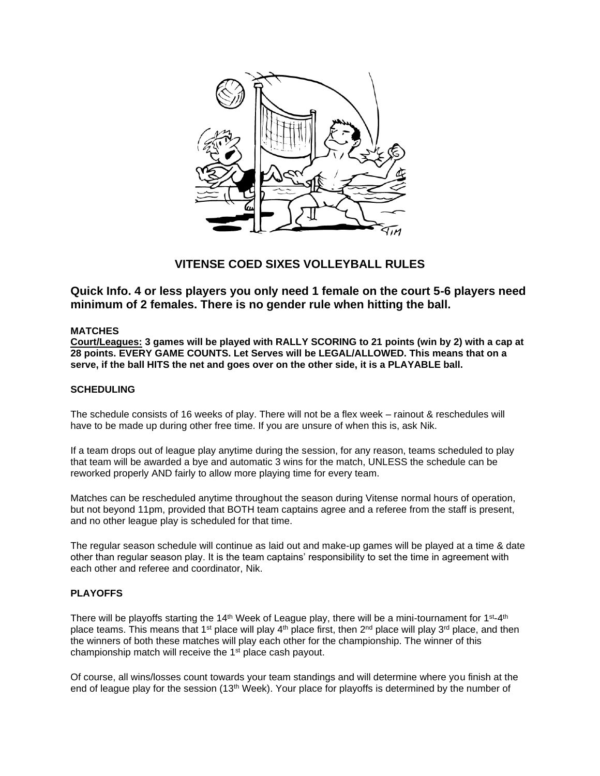

# **VITENSE COED SIXES VOLLEYBALL RULES**

**Quick Info. 4 or less players you only need 1 female on the court 5-6 players need minimum of 2 females. There is no gender rule when hitting the ball.** 

# **MATCHES**

**Court/Leagues: 3 games will be played with RALLY SCORING to 21 points (win by 2) with a cap at 28 points. EVERY GAME COUNTS. Let Serves will be LEGAL/ALLOWED. This means that on a serve, if the ball HITS the net and goes over on the other side, it is a PLAYABLE ball.**

# **SCHEDULING**

The schedule consists of 16 weeks of play. There will not be a flex week – rainout & reschedules will have to be made up during other free time. If you are unsure of when this is, ask Nik.

If a team drops out of league play anytime during the session, for any reason, teams scheduled to play that team will be awarded a bye and automatic 3 wins for the match, UNLESS the schedule can be reworked properly AND fairly to allow more playing time for every team.

Matches can be rescheduled anytime throughout the season during Vitense normal hours of operation, but not beyond 11pm, provided that BOTH team captains agree and a referee from the staff is present, and no other league play is scheduled for that time.

The regular season schedule will continue as laid out and make-up games will be played at a time & date other than regular season play. It is the team captains' responsibility to set the time in agreement with each other and referee and coordinator, Nik.

# **PLAYOFFS**

There will be playoffs starting the 14<sup>th</sup> Week of League play, there will be a mini-tournament for 1st-4th place teams. This means that 1<sup>st</sup> place will play  $4<sup>th</sup>$  place first, then 2<sup>nd</sup> place will play 3<sup>rd</sup> place, and then the winners of both these matches will play each other for the championship. The winner of this championship match will receive the 1<sup>st</sup> place cash payout.

Of course, all wins/losses count towards your team standings and will determine where you finish at the end of league play for the session (13<sup>th</sup> Week). Your place for playoffs is determined by the number of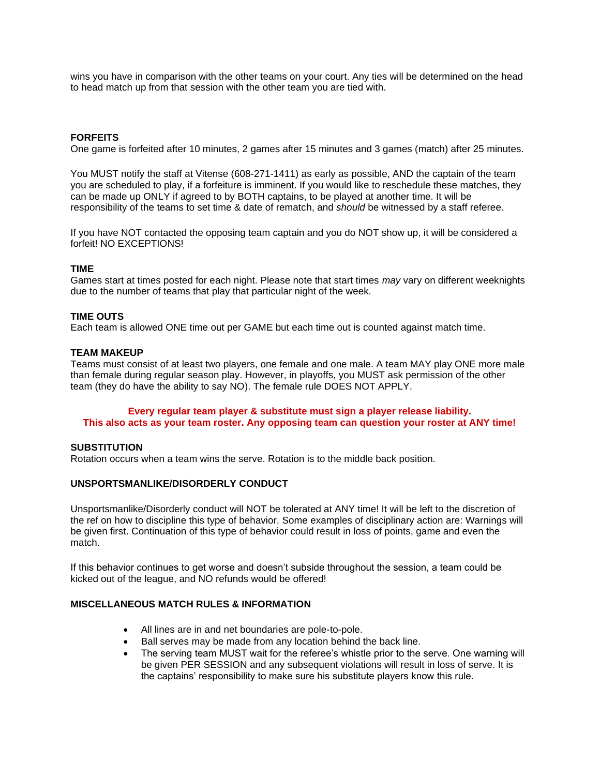wins you have in comparison with the other teams on your court. Any ties will be determined on the head to head match up from that session with the other team you are tied with.

# **FORFEITS**

One game is forfeited after 10 minutes, 2 games after 15 minutes and 3 games (match) after 25 minutes.

You MUST notify the staff at Vitense (608-271-1411) as early as possible, AND the captain of the team you are scheduled to play, if a forfeiture is imminent. If you would like to reschedule these matches, they can be made up ONLY if agreed to by BOTH captains, to be played at another time. It will be responsibility of the teams to set time & date of rematch, and *should* be witnessed by a staff referee.

If you have NOT contacted the opposing team captain and you do NOT show up, it will be considered a forfeit! NO EXCEPTIONS!

## **TIME**

Games start at times posted for each night. Please note that start times *may* vary on different weeknights due to the number of teams that play that particular night of the week.

#### **TIME OUTS**

Each team is allowed ONE time out per GAME but each time out is counted against match time.

#### **TEAM MAKEUP**

Teams must consist of at least two players, one female and one male. A team MAY play ONE more male than female during regular season play. However, in playoffs, you MUST ask permission of the other team (they do have the ability to say NO). The female rule DOES NOT APPLY.

## **Every regular team player & substitute must sign a player release liability. This also acts as your team roster. Any opposing team can question your roster at ANY time!**

#### **SUBSTITUTION**

Rotation occurs when a team wins the serve. Rotation is to the middle back position.

#### **UNSPORTSMANLIKE/DISORDERLY CONDUCT**

Unsportsmanlike/Disorderly conduct will NOT be tolerated at ANY time! It will be left to the discretion of the ref on how to discipline this type of behavior. Some examples of disciplinary action are: Warnings will be given first. Continuation of this type of behavior could result in loss of points, game and even the match.

If this behavior continues to get worse and doesn't subside throughout the session, a team could be kicked out of the league, and NO refunds would be offered!

# **MISCELLANEOUS MATCH RULES & INFORMATION**

- All lines are in and net boundaries are pole-to-pole.
- Ball serves may be made from any location behind the back line.
- The serving team MUST wait for the referee's whistle prior to the serve. One warning will be given PER SESSION and any subsequent violations will result in loss of serve. It is the captains' responsibility to make sure his substitute players know this rule.